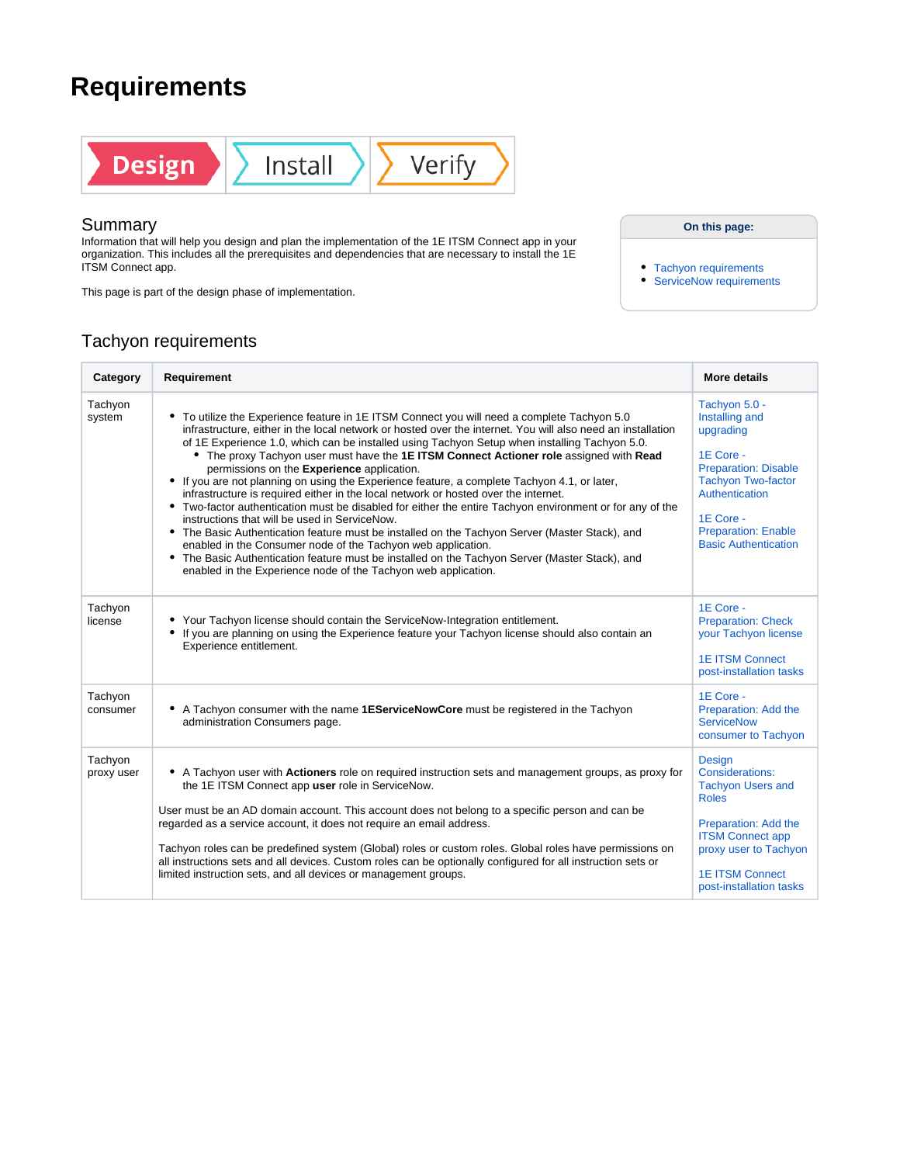## **Requirements**



## Summary

Information that will help you design and plan the implementation of the 1E ITSM Connect app in your organization. This includes all the prerequisites and dependencies that are necessary to install the 1E ITSM Connect app.

This page is part of the design phase of implementation.

**On this page:**

- [Tachyon requirements](#page-0-0)
- [ServiceNow requirements](#page-1-0)

## <span id="page-0-0"></span>Tachyon requirements

| Category              | Requirement                                                                                                                                                                                                                                                                                                                                                                                                                                                                                                                                                                                                                                                                                                                                                                                                                                                                                                                                                                                                                                                                                                                                    | More details                                                                                                                                                                                                      |
|-----------------------|------------------------------------------------------------------------------------------------------------------------------------------------------------------------------------------------------------------------------------------------------------------------------------------------------------------------------------------------------------------------------------------------------------------------------------------------------------------------------------------------------------------------------------------------------------------------------------------------------------------------------------------------------------------------------------------------------------------------------------------------------------------------------------------------------------------------------------------------------------------------------------------------------------------------------------------------------------------------------------------------------------------------------------------------------------------------------------------------------------------------------------------------|-------------------------------------------------------------------------------------------------------------------------------------------------------------------------------------------------------------------|
| Tachyon<br>system     | • To utilize the Experience feature in 1E ITSM Connect you will need a complete Tachyon 5.0<br>infrastructure, either in the local network or hosted over the internet. You will also need an installation<br>of 1E Experience 1.0, which can be installed using Tachyon Setup when installing Tachyon 5.0.<br>• The proxy Tachyon user must have the 1E ITSM Connect Actioner role assigned with Read<br>permissions on the Experience application.<br>• If you are not planning on using the Experience feature, a complete Tachyon 4.1, or later,<br>infrastructure is required either in the local network or hosted over the internet.<br>• Two-factor authentication must be disabled for either the entire Tachyon environment or for any of the<br>instructions that will be used in ServiceNow.<br>• The Basic Authentication feature must be installed on the Tachyon Server (Master Stack), and<br>enabled in the Consumer node of the Tachyon web application.<br>• The Basic Authentication feature must be installed on the Tachyon Server (Master Stack), and<br>enabled in the Experience node of the Tachyon web application. | Tachyon 5.0 -<br>Installing and<br>upgrading<br>1E Core -<br><b>Preparation: Disable</b><br><b>Tachyon Two-factor</b><br>Authentication<br>1E Core -<br><b>Preparation: Enable</b><br><b>Basic Authentication</b> |
| Tachyon<br>license    | • Your Tachyon license should contain the ServiceNow-Integration entitlement.<br>• If you are planning on using the Experience feature your Tachyon license should also contain an<br>Experience entitlement.                                                                                                                                                                                                                                                                                                                                                                                                                                                                                                                                                                                                                                                                                                                                                                                                                                                                                                                                  | 1E Core -<br><b>Preparation: Check</b><br>your Tachyon license<br><b>1E ITSM Connect</b><br>post-installation tasks                                                                                               |
| Tachyon<br>consumer   | • A Tachyon consumer with the name 1EServiceNowCore must be registered in the Tachyon<br>administration Consumers page.                                                                                                                                                                                                                                                                                                                                                                                                                                                                                                                                                                                                                                                                                                                                                                                                                                                                                                                                                                                                                        | 1E Core -<br>Preparation: Add the<br><b>ServiceNow</b><br>consumer to Tachyon                                                                                                                                     |
| Tachyon<br>proxy user | • A Tachyon user with <b>Actioners</b> role on required instruction sets and management groups, as proxy for<br>the 1E ITSM Connect app user role in ServiceNow.<br>User must be an AD domain account. This account does not belong to a specific person and can be<br>regarded as a service account, it does not require an email address.<br>Tachyon roles can be predefined system (Global) roles or custom roles. Global roles have permissions on<br>all instructions sets and all devices. Custom roles can be optionally configured for all instruction sets or<br>limited instruction sets, and all devices or management groups.                                                                                                                                                                                                                                                                                                                                                                                                                                                                                                      | <b>Design</b><br>Considerations:<br><b>Tachyon Users and</b><br><b>Roles</b><br>Preparation: Add the<br><b>ITSM Connect app</b><br>proxy user to Tachyon<br><b>1E ITSM Connect</b><br>post-installation tasks     |